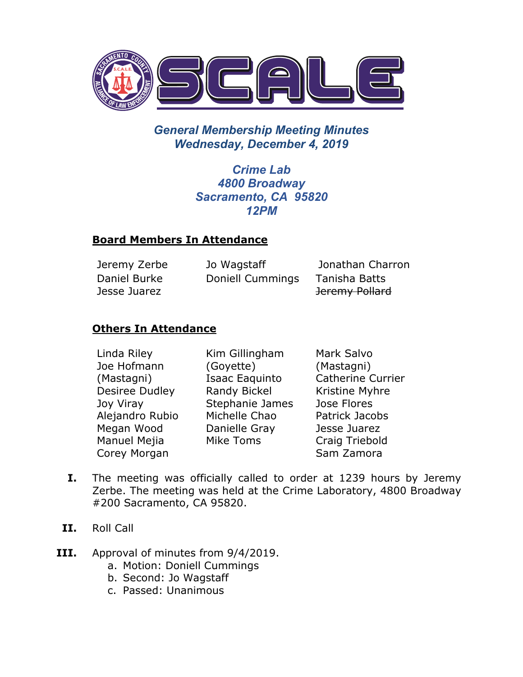

# *General Membership Meeting Minutes Wednesday, December 4, 2019*

*Crime Lab 4800 Broadway Sacramento, CA 95820 12PM*

#### **Board Members In Attendance**

| Jeremy Zerbe | Jo Wagstaff      | Jonathan Charron |
|--------------|------------------|------------------|
| Daniel Burke | Doniell Cummings | Tanisha Batts    |
| Jesse Juarez |                  | Jeremy Pollard   |

### **Others In Attendance**

Linda Riley Joe Hofmann (Mastagni) Desiree Dudley Joy Viray Alejandro Rubio Megan Wood Manuel Mejia Corey Morgan

Kim Gillingham (Goyette) Isaac Eaquinto Randy Bickel Stephanie James Michelle Chao Danielle Gray Mike Toms

Mark Salvo (Mastagni) Catherine Currier Kristine Myhre Jose Flores Patrick Jacobs Jesse Juarez Craig Triebold Sam Zamora

- **I.** The meeting was officially called to order at 1239 hours by Jeremy Zerbe. The meeting was held at the Crime Laboratory, 4800 Broadway #200 Sacramento, CA 95820.
- **II.** Roll Call
- **III.** Approval of minutes from 9/4/2019.
	- a. Motion: Doniell Cummings
	- b. Second: Jo Wagstaff
	- c. Passed: Unanimous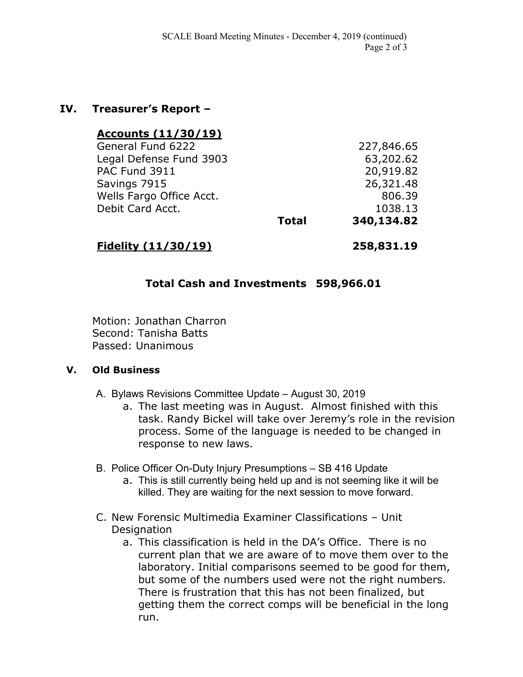#### **IV. Treasurer's Report –**

| <u>Accounts (11/30/19)</u> |              |            |
|----------------------------|--------------|------------|
| General Fund 6222          |              | 227,846.65 |
| Legal Defense Fund 3903    |              | 63,202.62  |
| PAC Fund 3911              |              | 20,919.82  |
| Savings 7915               |              | 26,321.48  |
| Wells Fargo Office Acct.   |              | 806.39     |
| Debit Card Acct.           |              | 1038.13    |
|                            | <b>Total</b> | 340,134.82 |
|                            |              |            |

## **Fidelity (11/30/19) 258,831.19**

### **Total Cash and Investments 598,966.01**

Motion: Jonathan Charron Second: Tanisha Batts Passed: Unanimous

#### **V. Old Business**

- A. Bylaws Revisions Committee Update August 30, 2019
	- a. The last meeting was in August. Almost finished with this task. Randy Bickel will take over Jeremy's role in the revision process. Some of the language is needed to be changed in response to new laws.
- B. Police Officer On-Duty Injury Presumptions SB 416 Update
	- a. This is still currently being held up and is not seeming like it will be killed. They are waiting for the next session to move forward.
- C. New Forensic Multimedia Examiner Classifications Unit **Designation** 
	- a. This classification is held in the DA's Office. There is no current plan that we are aware of to move them over to the laboratory. Initial comparisons seemed to be good for them, but some of the numbers used were not the right numbers. There is frustration that this has not been finalized, but getting them the correct comps will be beneficial in the long run.